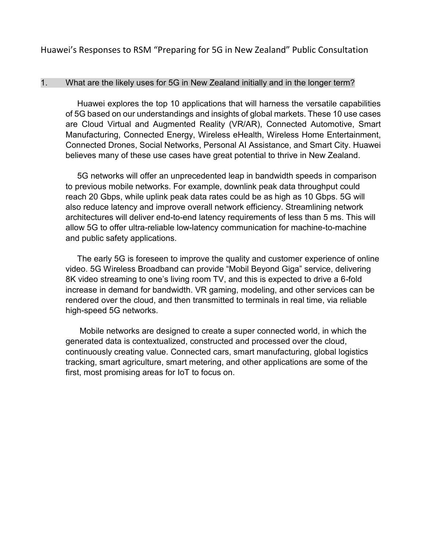Huawei's Responses to RSM "Preparing for 5G in New Zealand" Public Consultation

#### 1. What are the likely uses for 5G in New Zealand initially and in the longer term?

 Huawei explores the top 10 applications that will harness the versatile capabilities of 5G based on our understandings and insights of global markets. These 10 use cases are Cloud Virtual and Augmented Reality (VR/AR), Connected Automotive, Smart Manufacturing, Connected Energy, Wireless eHealth, Wireless Home Entertainment, Connected Drones, Social Networks, Personal AI Assistance, and Smart City. Huawei believes many of these use cases have great potential to thrive in New Zealand.

 5G networks will offer an unprecedented leap in bandwidth speeds in comparison to previous mobile networks. For example, downlink peak data throughput could reach 20 Gbps, while uplink peak data rates could be as high as 10 Gbps. 5G will also reduce latency and improve overall network efficiency. Streamlining network architectures will deliver end-to-end latency requirements of less than 5 ms. This will allow 5G to offer ultra-reliable low-latency communication for machine-to-machine and public safety applications.

 The early 5G is foreseen to improve the quality and customer experience of online video. 5G Wireless Broadband can provide "Mobil Beyond Giga" service, delivering 8K video streaming to one's living room TV, and this is expected to drive a 6-fold increase in demand for bandwidth. VR gaming, modeling, and other services can be rendered over the cloud, and then transmitted to terminals in real time, via reliable high-speed 5G networks.

 Mobile networks are designed to create a super connected world, in which the generated data is contextualized, constructed and processed over the cloud, continuously creating value. Connected cars, smart manufacturing, global logistics tracking, smart agriculture, smart metering, and other applications are some of the first, most promising areas for IoT to focus on.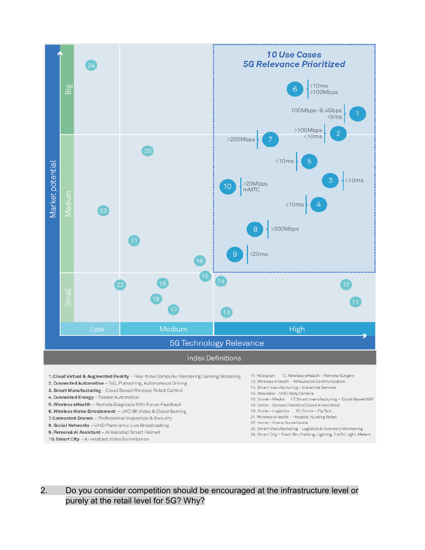

- 4. Connected Energy Feeder Automation
- 5. Wireless eHealth Remote Diagnosis With Force-Feedback
- 6. Wireless Home Entrainment UHD 8K Video & Cloud Gaming
- 7. Connected Drones Professional Inspection & Security
- 8. Social Networks UHD/Panoramic Live Broadcasting
- 9. Personal AI Assistant AI Assisted Smart Helmet
- 10. Smart City Al-enabled Video Surveillance
- 16. Drone Media 17. Smart manufacturing Cloud Based AGV
- 18. Home Service Robotics (Cloud Al Assisted)
- 19. Drone Logistics 20. Drone Fly Taxi
- 21. Wireless eHealth Hospital Nursing Robot
- 22. Home Home Surveillance
- 23. Smart Manufacturing Logistics & Inventory Monitoring
- 24. Smart City Trash Bin, Parking, Lighting, Traffic Light, Meters

2. Do you consider competition should be encouraged at the infrastructure level or purely at the retail level for 5G? Why?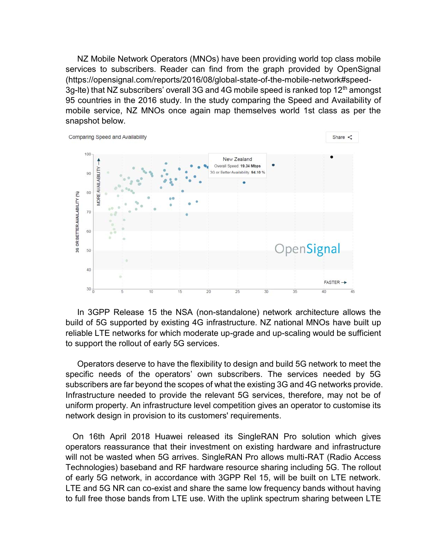NZ Mobile Network Operators (MNOs) have been providing world top class mobile services to subscribers. Reader can find from the graph provided by OpenSignal [\(https://opensignal.com/reports/2016/08/global-state-of-the-mobile-network#speed-](https://opensignal.com/reports/2016/08/global-state-of-the-mobile-network#speed-3g-lte)3q-lte) that NZ subscribers' overall 3G and 4G mobile speed is ranked top 12<sup>th</sup> amongst 95 countries in the 2016 study. In the study comparing the Speed and Availability of mobile service, NZ MNOs once again map themselves world 1st class as per the snapshot below.



 In 3GPP Release 15 the NSA (non-standalone) network architecture allows the build of 5G supported by existing 4G infrastructure. NZ national MNOs have built up reliable LTE networks for which moderate up-grade and up-scaling would be sufficient to support the rollout of early 5G services.

 Operators deserve to have the flexibility to design and build 5G network to meet the specific needs of the operators' own subscribers. The services needed by 5G subscribers are far beyond the scopes of what the existing 3G and 4G networks provide. Infrastructure needed to provide the relevant 5G services, therefore, may not be of uniform property. An infrastructure level competition gives an operator to customise its network design in provision to its customers' requirements.

 On 16th April 2018 Huawei released its SingleRAN Pro solution which gives operators reassurance that their investment on existing hardware and infrastructure will not be wasted when 5G arrives. SingleRAN Pro allows multi-RAT (Radio Access Technologies) baseband and RF hardware resource sharing including 5G. The rollout of early 5G network, in accordance with 3GPP Rel 15, will be built on LTE network. LTE and 5G NR can co-exist and share the same low frequency bands without having to full free those bands from LTE use. With the uplink spectrum sharing between LTE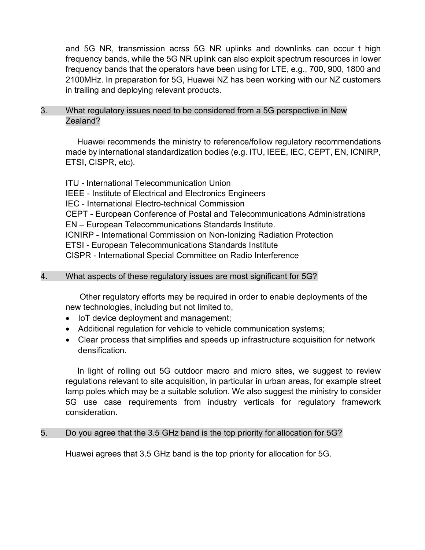and 5G NR, transmission acrss 5G NR uplinks and downlinks can occur t high frequency bands, while the 5G NR uplink can also exploit spectrum resources in lower frequency bands that the operators have been using for LTE, e.g., 700, 900, 1800 and 2100MHz. In preparation for 5G, Huawei NZ has been working with our NZ customers in trailing and deploying relevant products.

## 3. What regulatory issues need to be considered from a 5G perspective in New Zealand?

 Huawei recommends the ministry to reference/follow regulatory recommendations made by international standardization bodies (e.g. ITU, IEEE, IEC, CEPT, EN, ICNIRP, ETSI, CISPR, etc).

ITU - International Telecommunication Union IEEE - Institute of Electrical and Electronics Engineers IEC - International Electro-technical Commission CEPT - European Conference of Postal and Telecommunications Administrations EN – European Telecommunications Standards Institute. ICNIRP - International Commission on Non-Ionizing Radiation Protection ETSI - European Telecommunications Standards Institute CISPR - International Special Committee on Radio Interference

## 4. What aspects of these regulatory issues are most significant for 5G?

 Other regulatory efforts may be required in order to enable deployments of the new technologies, including but not limited to,

- IoT device deployment and management;
- Additional regulation for vehicle to vehicle communication systems;
- Clear process that simplifies and speeds up infrastructure acquisition for network densification.

 In light of rolling out 5G outdoor macro and micro sites, we suggest to review regulations relevant to site acquisition, in particular in urban areas, for example street lamp poles which may be a suitable solution. We also suggest the ministry to consider 5G use case requirements from industry verticals for regulatory framework consideration.

#### 5. Do you agree that the 3.5 GHz band is the top priority for allocation for 5G?

Huawei agrees that 3.5 GHz band is the top priority for allocation for 5G.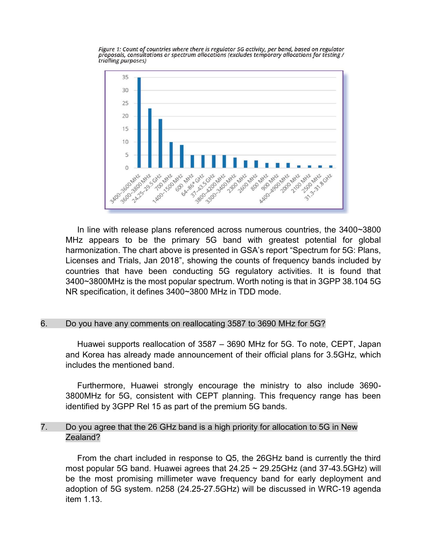

Figure 1: Count of countries where there is regulator 5G activity, per band, based on regulator proposals, consultations or spectrum allocations (excludes temporary allocations for testing / trialling purposes)

 In line with release plans referenced across numerous countries, the 3400~3800 MHz appears to be the primary 5G band with greatest potential for global harmonization. The chart above is presented in GSA's report "Spectrum for 5G: Plans, Licenses and Trials, Jan 2018", showing the counts of frequency bands included by countries that have been conducting 5G regulatory activities. It is found that 3400~3800MHz is the most popular spectrum. Worth noting is that in 3GPP 38.104 5G NR specification, it defines 3400~3800 MHz in TDD mode.

#### 6. Do you have any comments on reallocating 3587 to 3690 MHz for 5G?

 Huawei supports reallocation of 3587 – 3690 MHz for 5G. To note, CEPT, Japan and Korea has already made announcement of their official plans for 3.5GHz, which includes the mentioned band.

 Furthermore, Huawei strongly encourage the ministry to also include 3690- 3800MHz for 5G, consistent with CEPT planning. This frequency range has been identified by 3GPP Rel 15 as part of the premium 5G bands.

### 7. Do you agree that the 26 GHz band is a high priority for allocation to 5G in New Zealand?

 From the chart included in response to Q5, the 26GHz band is currently the third most popular 5G band. Huawei agrees that  $24.25 \sim 29.25$ GHz (and 37-43.5GHz) will be the most promising millimeter wave frequency band for early deployment and adoption of 5G system. n258 (24.25-27.5GHz) will be discussed in WRC-19 agenda item 1.13.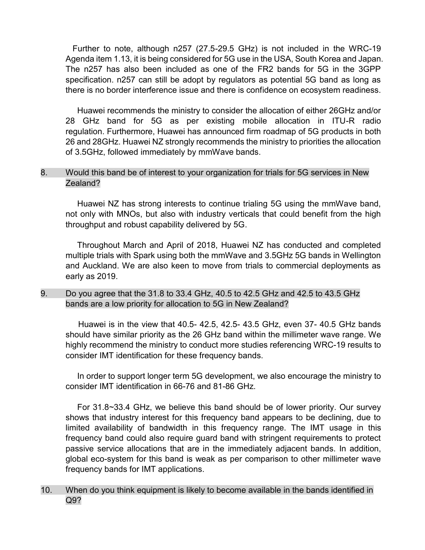Further to note, although n257 (27.5-29.5 GHz) is not included in the WRC-19 Agenda item 1.13, it is being considered for 5G use in the USA, South Korea and Japan. The n257 has also been included as one of the FR2 bands for 5G in the 3GPP specification. n257 can still be adopt by regulators as potential 5G band as long as there is no border interference issue and there is confidence on ecosystem readiness.

 Huawei recommends the ministry to consider the allocation of either 26GHz and/or 28 GHz band for 5G as per existing mobile allocation in ITU-R radio regulation. Furthermore, Huawei has announced firm roadmap of 5G products in both 26 and 28GHz. Huawei NZ strongly recommends the ministry to priorities the allocation of 3.5GHz, followed immediately by mmWave bands.

#### 8. Would this band be of interest to your organization for trials for 5G services in New Zealand?

 Huawei NZ has strong interests to continue trialing 5G using the mmWave band, not only with MNOs, but also with industry verticals that could benefit from the high throughput and robust capability delivered by 5G.

 Throughout March and April of 2018, Huawei NZ has conducted and completed multiple trials with Spark using both the mmWave and 3.5GHz 5G bands in Wellington and Auckland. We are also keen to move from trials to commercial deployments as early as 2019.

### 9. Do you agree that the 31.8 to 33.4 GHz, 40.5 to 42.5 GHz and 42.5 to 43.5 GHz bands are a low priority for allocation to 5G in New Zealand?

 Huawei is in the view that 40.5- 42.5, 42.5- 43.5 GHz, even 37- 40.5 GHz bands should have similar priority as the 26 GHz band within the millimeter wave range. We highly recommend the ministry to conduct more studies referencing WRC-19 results to consider IMT identification for these frequency bands.

 In order to support longer term 5G development, we also encourage the ministry to consider IMT identification in 66-76 and 81-86 GHz.

 For 31.8~33.4 GHz, we believe this band should be of lower priority. Our survey shows that industry interest for this frequency band appears to be declining, due to limited availability of bandwidth in this frequency range. The IMT usage in this frequency band could also require guard band with stringent requirements to protect passive service allocations that are in the immediately adjacent bands. In addition, global eco-system for this band is weak as per comparison to other millimeter wave frequency bands for IMT applications.

### 10. When do you think equipment is likely to become available in the bands identified in Q9?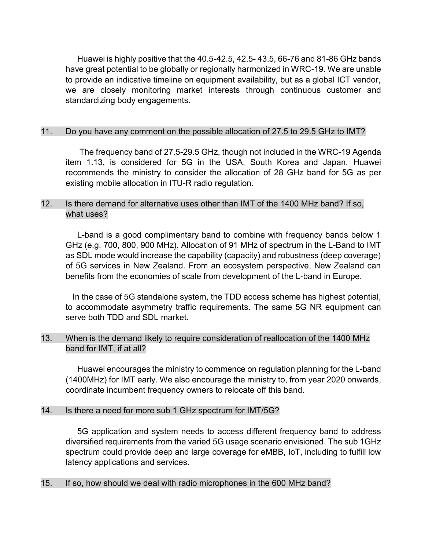Huawei is highly positive that the 40.5-42.5, 42.5- 43.5, 66-76 and 81-86 GHz bands have great potential to be globally or regionally harmonized in WRC-19. We are unable to provide an indicative timeline on equipment availability, but as a global ICT vendor, we are closely monitoring market interests through continuous customer and standardizing body engagements.

### 11. Do you have any comment on the possible allocation of 27.5 to 29.5 GHz to IMT?

 The frequency band of 27.5-29.5 GHz, though not included in the WRC-19 Agenda item 1.13, is considered for 5G in the USA, South Korea and Japan. Huawei recommends the ministry to consider the allocation of 28 GHz band for 5G as per existing mobile allocation in ITU-R radio regulation.

## 12. Is there demand for alternative uses other than IMT of the 1400 MHz band? If so, what uses?

 L-band is a good complimentary band to combine with frequency bands below 1 GHz (e.g. 700, 800, 900 MHz). Allocation of 91 MHz of spectrum in the L-Band to IMT as SDL mode would increase the capability (capacity) and robustness (deep coverage) of 5G services in New Zealand. From an ecosystem perspective, New Zealand can benefits from the economies of scale from development of the L-band in Europe.

 In the case of 5G standalone system, the TDD access scheme has highest potential, to accommodate asymmetry traffic requirements. The same 5G NR equipment can serve both TDD and SDL market.

## 13. When is the demand likely to require consideration of reallocation of the 1400 MHz band for IMT, if at all?

 Huawei encourages the ministry to commence on regulation planning for the L-band (1400MHz) for IMT early. We also encourage the ministry to, from year 2020 onwards, coordinate incumbent frequency owners to relocate off this band.

#### 14. Is there a need for more sub 1 GHz spectrum for IMT/5G?

 5G application and system needs to access different frequency band to address diversified requirements from the varied 5G usage scenario envisioned. The sub 1GHz spectrum could provide deep and large coverage for eMBB, IoT, including to fulfill low latency applications and services.

#### 15. If so, how should we deal with radio microphones in the 600 MHz band?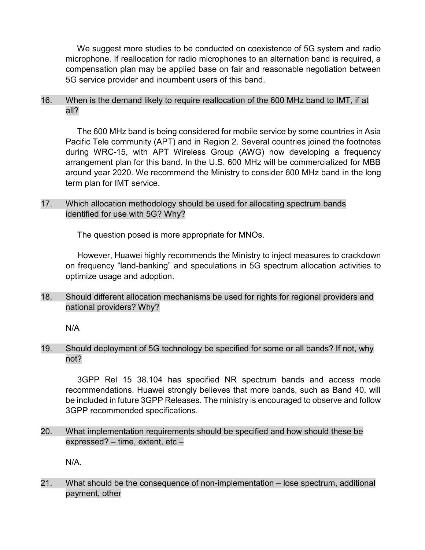We suggest more studies to be conducted on coexistence of 5G system and radio microphone. If reallocation for radio microphones to an alternation band is required, a compensation plan may be applied base on fair and reasonable negotiation between 5G service provider and incumbent users of this band.

16. When is the demand likely to require reallocation of the 600 MHz band to IMT, if at all?

 The 600 MHz band is being considered for mobile service by some countries in Asia Pacific Tele community (APT) and in Region 2. Several countries joined the footnotes during WRC-15, with APT Wireless Group (AWG) now developing a frequency arrangement plan for this band. In the U.S. 600 MHz will be commercialized for MBB around year 2020. We recommend the Ministry to consider 600 MHz band in the long term plan for IMT service.

## 17. Which allocation methodology should be used for allocating spectrum bands identified for use with 5G? Why?

The question posed is more appropriate for MNOs.

 However, Huawei highly recommends the Ministry to inject measures to crackdown on frequency "land-banking" and speculations in 5G spectrum allocation activities to optimize usage and adoption.

18. Should different allocation mechanisms be used for rights for regional providers and national providers? Why?

N/A

19. Should deployment of 5G technology be specified for some or all bands? If not, why not?

 3GPP Rel 15 38.104 has specified NR spectrum bands and access mode recommendations. Huawei strongly believes that more bands, such as Band 40, will be included in future 3GPP Releases. The ministry is encouraged to observe and follow 3GPP recommended specifications.

20. What implementation requirements should be specified and how should these be expressed? – time, extent, etc –

N/A.

21. What should be the consequence of non-implementation – lose spectrum, additional payment, other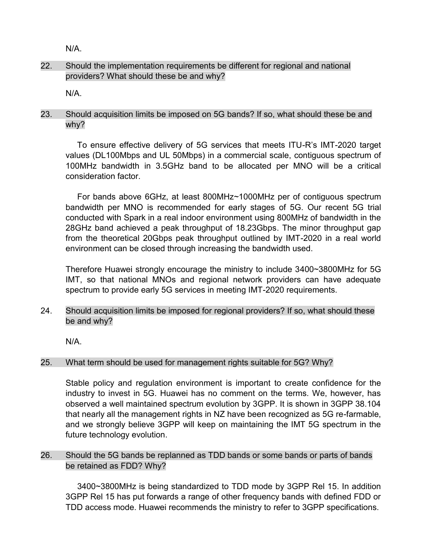N/A.

# 22. Should the implementation requirements be different for regional and national providers? What should these be and why?

N/A.

## 23. Should acquisition limits be imposed on 5G bands? If so, what should these be and why?

 To ensure effective delivery of 5G services that meets ITU-R's IMT-2020 target values (DL100Mbps and UL 50Mbps) in a commercial scale, contiguous spectrum of 100MHz bandwidth in 3.5GHz band to be allocated per MNO will be a critical consideration factor.

 For bands above 6GHz, at least 800MHz~1000MHz per of contiguous spectrum bandwidth per MNO is recommended for early stages of 5G. Our recent 5G trial conducted with Spark in a real indoor environment using 800MHz of bandwidth in the 28GHz band achieved a peak throughput of 18.23Gbps. The minor throughput gap from the theoretical 20Gbps peak throughput outlined by IMT-2020 in a real world environment can be closed through increasing the bandwidth used.

Therefore Huawei strongly encourage the ministry to include 3400~3800MHz for 5G IMT, so that national MNOs and regional network providers can have adequate spectrum to provide early 5G services in meeting IMT-2020 requirements.

## 24. Should acquisition limits be imposed for regional providers? If so, what should these be and why?

N/A.

## 25. What term should be used for management rights suitable for 5G? Why?

Stable policy and regulation environment is important to create confidence for the industry to invest in 5G. Huawei has no comment on the terms. We, however, has observed a well maintained spectrum evolution by 3GPP. It is shown in 3GPP 38.104 that nearly all the management rights in NZ have been recognized as 5G re-farmable, and we strongly believe 3GPP will keep on maintaining the IMT 5G spectrum in the future technology evolution.

## 26. Should the 5G bands be replanned as TDD bands or some bands or parts of bands be retained as FDD? Why?

 3400~3800MHz is being standardized to TDD mode by 3GPP Rel 15. In addition 3GPP Rel 15 has put forwards a range of other frequency bands with defined FDD or TDD access mode. Huawei recommends the ministry to refer to 3GPP specifications.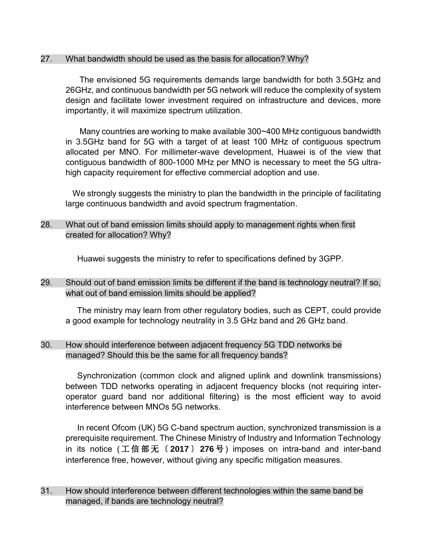### 27. What bandwidth should be used as the basis for allocation? Why?

 The envisioned 5G requirements demands large bandwidth for both 3.5GHz and 26GHz, and continuous bandwidth per 5G network will reduce the complexity of system design and facilitate lower investment required on infrastructure and devices, more importantly, it will maximize spectrum utilization.

 Many countries are working to make available 300~400 MHz contiguous bandwidth in 3.5GHz band for 5G with a target of at least 100 MHz of contiguous spectrum allocated per MNO. For millimeter-wave development, Huawei is of the view that contiguous bandwidth of 800-1000 MHz per MNO is necessary to meet the 5G ultrahigh capacity requirement for effective commercial adoption and use.

We strongly suggests the ministry to plan the bandwidth in the principle of facilitating large continuous bandwidth and avoid spectrum fragmentation.

## 28. What out of band emission limits should apply to management rights when first created for allocation? Why?

Huawei suggests the ministry to refer to specifications defined by 3GPP.

29. Should out of band emission limits be different if the band is technology neutral? If so, what out of band emission limits should be applied?

 The ministry may learn from other regulatory bodies, such as CEPT, could provide a good example for technology neutrality in 3.5 GHz band and 26 GHz band.

### 30. How should interference between adjacent frequency 5G TDD networks be managed? Should this be the same for all frequency bands?

 Synchronization (common clock and aligned uplink and downlink transmissions) between TDD networks operating in adjacent frequency blocks (not requiring interoperator guard band nor additional filtering) is the most efficient way to avoid interference between MNOs 5G networks.

In recent Ofcom (UK) 5G C-band spectrum auction, synchronized transmission is a prerequisite requirement. The Chinese Ministry of Industry and Information Technology in its notice ( 工 信 部 无 〔 **2017** 〕 **276** 号 ) imposes on intra-band and inter-band interference free, however, without giving any specific mitigation measures.

31. How should interference between different technologies within the same band be managed, if bands are technology neutral?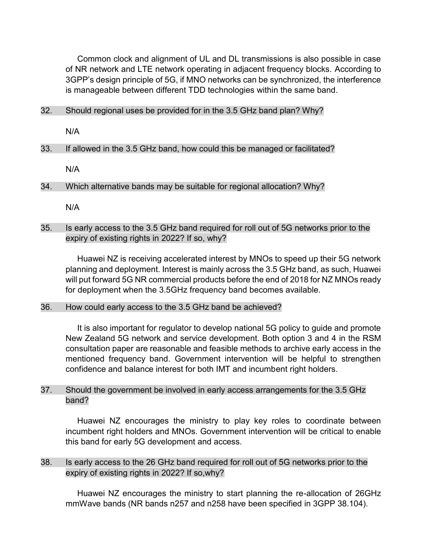Common clock and alignment of UL and DL transmissions is also possible in case of NR network and LTE network operating in adjacent frequency blocks. According to 3GPP's design principle of 5G, if MNO networks can be synchronized, the interference is manageable between different TDD technologies within the same band.

### 32. Should regional uses be provided for in the 3.5 GHz band plan? Why?

N/A

### 33. If allowed in the 3.5 GHz band, how could this be managed or facilitated?

N/A

34. Which alternative bands may be suitable for regional allocation? Why?

N/A

### 35. Is early access to the 3.5 GHz band required for roll out of 5G networks prior to the expiry of existing rights in 2022? If so, why?

 Huawei NZ is receiving accelerated interest by MNOs to speed up their 5G network planning and deployment. Interest is mainly across the 3.5 GHz band, as such, Huawei will put forward 5G NR commercial products before the end of 2018 for NZ MNOs ready for deployment when the 3.5GHz frequency band becomes available.

#### 36. How could early access to the 3.5 GHz band be achieved?

 It is also important for regulator to develop national 5G policy to guide and promote New Zealand 5G network and service development. Both option 3 and 4 in the RSM consultation paper are reasonable and feasible methods to archive early access in the mentioned frequency band. Government intervention will be helpful to strengthen confidence and balance interest for both IMT and incumbent right holders.

### 37. Should the government be involved in early access arrangements for the 3.5 GHz band?

 Huawei NZ encourages the ministry to play key roles to coordinate between incumbent right holders and MNOs. Government intervention will be critical to enable this band for early 5G development and access.

## 38. Is early access to the 26 GHz band required for roll out of 5G networks prior to the expiry of existing rights in 2022? If so,why?

 Huawei NZ encourages the ministry to start planning the re-allocation of 26GHz mmWave bands (NR bands n257 and n258 have been specified in 3GPP 38.104).